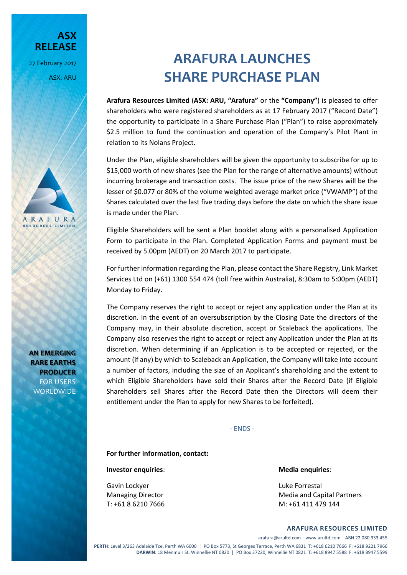**RELEASE** 27 February 2017

ASX: ARU

**ASX**



**AN EMERGING RARE EARTHS PRODUCER** FOR USERS WORLDWIDE

# **ARAFURA LAUNCHES SHARE PURCHASE PLAN**

**Arafura Resources Limited** (**ASX: ARU, "Arafura"** or the **"Company"**) is pleased to offer shareholders who were registered shareholders as at 17 February 2017 ("Record Date") the opportunity to participate in a Share Purchase Plan ("Plan") to raise approximately \$2.5 million to fund the continuation and operation of the Company's Pilot Plant in relation to its Nolans Project.

Under the Plan, eligible shareholders will be given the opportunity to subscribe for up to \$15,000 worth of new shares (see the Plan for the range of alternative amounts) without incurring brokerage and transaction costs. The issue price of the new Shares will be the lesser of \$0.077 or 80% of the volume weighted average market price ("VWAMP") of the Shares calculated over the last five trading days before the date on which the share issue is made under the Plan.

Eligible Shareholders will be sent a Plan booklet along with a personalised Application Form to participate in the Plan. Completed Application Forms and payment must be received by 5.00pm (AEDT) on 20 March 2017 to participate.

For further information regarding the Plan, please contact the Share Registry, Link Market Services Ltd on (+61) 1300 554 474 (toll free within Australia), 8:30am to 5:00pm (AEDT) Monday to Friday.

The Company reserves the right to accept or reject any application under the Plan at its discretion. In the event of an oversubscription by the Closing Date the directors of the Company may, in their absolute discretion, accept or Scaleback the applications. The Company also reserves the right to accept or reject any Application under the Plan at its discretion. When determining if an Application is to be accepted or rejected, or the amount (if any) by which to Scaleback an Application, the Company will take into account a number of factors, including the size of an Applicant's shareholding and the extent to which Eligible Shareholders have sold their Shares after the Record Date (if Eligible Shareholders sell Shares after the Record Date then the Directors will deem their entitlement under the Plan to apply for new Shares to be forfeited).

‐ ENDS ‐

**For further information, contact:** 

**Investor enquiries**: **Media enquiries**:

Gavin Lockyer **Carried Contract Contract Contract Contract Contract Contract Contract Contract Contract Contract Contract Contract Contract Contract Contract Contract Contract Contract Contract Contract Contract Contract C** 

Managing Director **Managing Director 1997** Media and Capital Partners T: +61 8 6210 7666 M: +61 411 479 144

**ARAFURA RESOURCES LIMITED**

arafura@arultd.com www.arultd.com ABN 22 080 933 455

**PERTH**: Level 3/263 Adelaide Tce, Perth WA 6000 | PO Box 5773, St Georges Terrace, Perth WA 6831 T: +618 6210 7666 F: +618 9221 7966 **DARWIN**: 18 Menmuir St, Winnellie NT 0820 | PO Box 37220, Winnellie NT 0821 T: +618 8947 5588 F: +618 8947 5599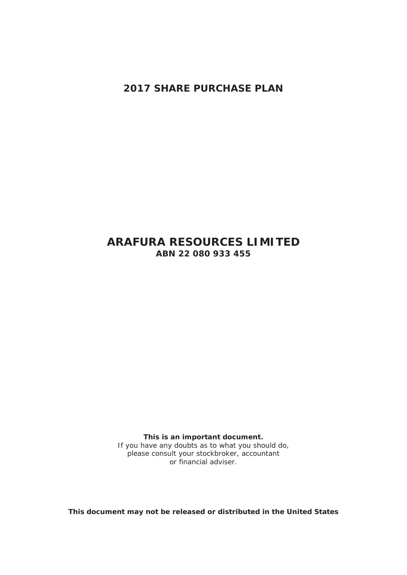**2017 SHARE PURCHASE PLAN** 

# **ARAFURA RESOURCES LIMITED ABN 22 080 933 455**

**This is an important document.** 

If you have any doubts as to what you should do, please consult your stockbroker, accountant or financial adviser.

*This document may not be released or distributed in the United States*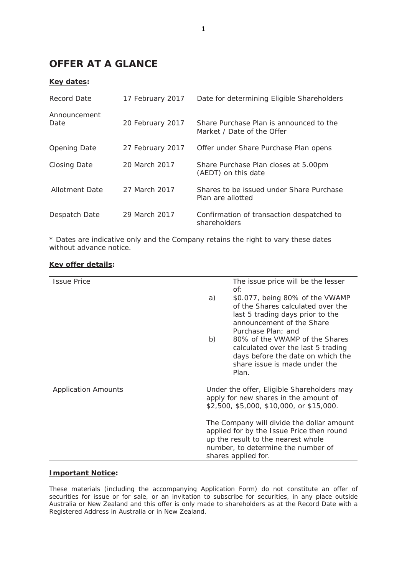# **OFFER AT A GLANCE**

# **Key dates:**

| Record Date          | 17 February 2017 | Date for determining Eligible Shareholders                            |  |
|----------------------|------------------|-----------------------------------------------------------------------|--|
| Announcement<br>Date | 20 February 2017 | Share Purchase Plan is announced to the<br>Market / Date of the Offer |  |
| <b>Opening Date</b>  | 27 February 2017 | Offer under Share Purchase Plan opens                                 |  |
| <b>Closing Date</b>  | 20 March 2017    | Share Purchase Plan closes at 5.00pm<br>(AEDT) on this date           |  |
| Allotment Date       | 27 March 2017    | Shares to be issued under Share Purchase<br>Plan are allotted         |  |
| Despatch Date        | 29 March 2017    | Confirmation of transaction despatched to<br>shareholders             |  |

\* Dates are indicative only and the Company retains the right to vary these dates without advance notice.

| <b>Issue Price</b>         |                                                                                   | The issue price will be the lesser<br>of:                                              |  |
|----------------------------|-----------------------------------------------------------------------------------|----------------------------------------------------------------------------------------|--|
|                            | a)                                                                                | \$0.077, being 80% of the VWAMP<br>of the Shares calculated over the                   |  |
|                            |                                                                                   | last 5 trading days prior to the<br>announcement of the Share                          |  |
|                            | b)                                                                                | Purchase Plan; and<br>80% of the VWAMP of the Shares                                   |  |
|                            |                                                                                   | calculated over the last 5 trading<br>days before the date on which the                |  |
|                            |                                                                                   | share issue is made under the<br>Plan.                                                 |  |
| <b>Application Amounts</b> | Under the offer, Eligible Shareholders may                                        |                                                                                        |  |
|                            | apply for new shares in the amount of<br>\$2,500, \$5,000, \$10,000, or \$15,000. |                                                                                        |  |
|                            |                                                                                   | The Company will divide the dollar amount<br>applied for by the Issue Price then round |  |
|                            | up the result to the nearest whole                                                |                                                                                        |  |
|                            | number, to determine the number of<br>shares applied for.                         |                                                                                        |  |

# **Key offer details:**

# **Important Notice:**

These materials (including the accompanying Application Form) do not constitute an offer of securities for issue or for sale, or an invitation to subscribe for securities, in any place outside Australia or New Zealand and this offer is only made to shareholders as at the Record Date with a Registered Address in Australia or in New Zealand.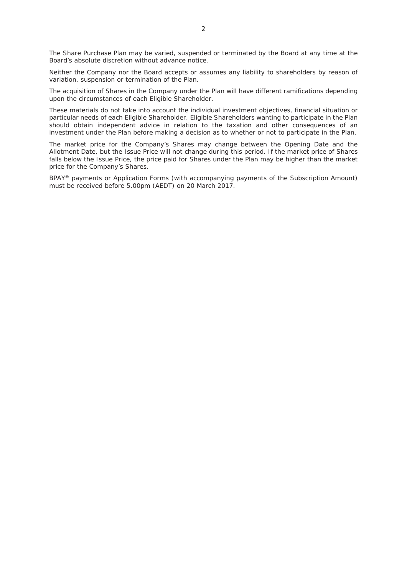The Share Purchase Plan may be varied, suspended or terminated by the Board at any time at the Board's absolute discretion without advance notice.

Neither the Company nor the Board accepts or assumes any liability to shareholders by reason of variation, suspension or termination of the Plan.

The acquisition of Shares in the Company under the Plan will have different ramifications depending upon the circumstances of each Eligible Shareholder.

These materials do not take into account the individual investment objectives, financial situation or particular needs of each Eligible Shareholder. Eligible Shareholders wanting to participate in the Plan should obtain independent advice in relation to the taxation and other consequences of an investment under the Plan before making a decision as to whether or not to participate in the Plan.

The market price for the Company's Shares may change between the Opening Date and the Allotment Date, but the Issue Price will not change during this period. If the market price of Shares falls below the Issue Price, the price paid for Shares under the Plan may be higher than the market price for the Company's Shares.

BPAY® payments or Application Forms (with accompanying payments of the Subscription Amount) must be received before 5.00pm (AEDT) on 20 March 2017.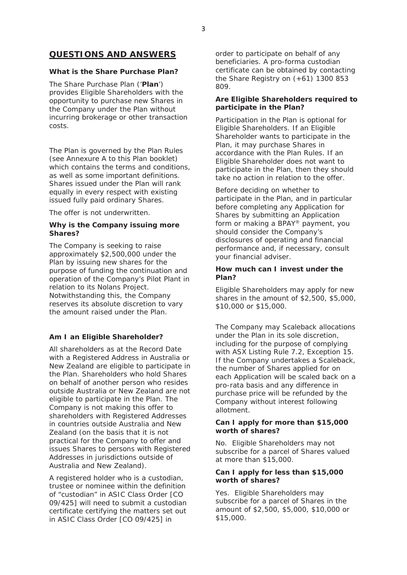# **QUESTIONS AND ANSWERS**

# *What is the Share Purchase Plan?*

The Share Purchase Plan ('**Plan**') provides Eligible Shareholders with the opportunity to purchase new Shares in the Company under the Plan without incurring brokerage or other transaction costs.

The Plan is governed by the Plan Rules (see Annexure A to this Plan booklet) which contains the terms and conditions. as well as some important definitions. Shares issued under the Plan will rank equally in every respect with existing issued fully paid ordinary Shares.

The offer is not underwritten.

# *Why is the Company issuing more Shares?*

The Company is seeking to raise approximately \$2,500,000 under the Plan by issuing new shares for the purpose of funding the continuation and operation of the Company's Pilot Plant in relation to its Nolans Project. Notwithstanding this, the Company reserves its absolute discretion to vary the amount raised under the Plan.

# *Am I an Eligible Shareholder?*

All shareholders as at the Record Date with a Registered Address in Australia or New Zealand are eligible to participate in the Plan. Shareholders who hold Shares on behalf of another person who resides outside Australia or New Zealand are not eligible to participate in the Plan. The Company is not making this offer to shareholders with Registered Addresses in countries outside Australia and New Zealand (on the basis that it is not practical for the Company to offer and issues Shares to persons with Registered Addresses in jurisdictions outside of Australia and New Zealand).

A registered holder who is a custodian, trustee or nominee within the definition of "custodian" in ASIC Class Order [CO 09/425] will need to submit a custodian certificate certifying the matters set out in ASIC Class Order [CO 09/425] in

order to participate on behalf of any beneficiaries. A pro-forma custodian certificate can be obtained by contacting the Share Registry on (+61) 1300 853 809.

### *Are Eligible Shareholders required to participate in the Plan?*

Participation in the Plan is optional for Eligible Shareholders. If an Eligible Shareholder wants to participate in the Plan, it may purchase Shares in accordance with the Plan Rules. If an Eligible Shareholder does not want to participate in the Plan, then they should take no action in relation to the offer.

Before deciding on whether to participate in the Plan, and in particular before completing any Application for Shares by submitting an Application form or making a BPAY® payment, you should consider the Company's disclosures of operating and financial performance and, if necessary, consult your financial adviser.

# *How much can I invest under the Plan?*

Eligible Shareholders may apply for new shares in the amount of \$2,500, \$5,000, \$10,000 or \$15,000.

The Company may Scaleback allocations under the Plan in its sole discretion, including for the purpose of complying with ASX Listing Rule 7.2, Exception 15. If the Company undertakes a Scaleback, the number of Shares applied for on each Application will be scaled back on a pro-rata basis and any difference in purchase price will be refunded by the Company without interest following allotment.

# *Can I apply for more than \$15,000 worth of shares?*

No. Eligible Shareholders may not subscribe for a parcel of Shares valued at more than \$15,000.

# *Can I apply for less than \$15,000 worth of shares?*

Yes. Eligible Shareholders may subscribe for a parcel of Shares in the amount of \$2,500, \$5,000, \$10,000 or \$15,000.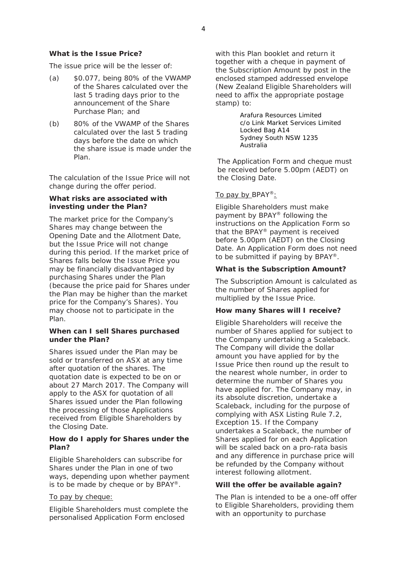#### *What is the Issue Price?*

The issue price will be the lesser of:

- $(a)$  \$0.077, being 80% of the VWAMP of the Shares calculated over the last 5 trading days prior to the announcement of the Share Purchase Plan; and
- (b) 80% of the VWAMP of the Shares calculated over the last 5 trading days before the date on which the share issue is made under the Plan.

The calculation of the Issue Price will not change during the offer period.

#### *What risks are associated with investing under the Plan?*

The market price for the Company's Shares may change between the Opening Date and the Allotment Date, but the Issue Price will not change during this period. If the market price of Shares falls below the Issue Price you may be financially disadvantaged by purchasing Shares under the Plan (because the price paid for Shares under the Plan may be higher than the market price for the Company's Shares). You may choose not to participate in the Plan.

#### *When can I sell Shares purchased under the Plan?*

Shares issued under the Plan may be sold or transferred on ASX at any time after quotation of the shares. The quotation date is expected to be on or about 27 March 2017. The Company will apply to the ASX for quotation of all Shares issued under the Plan following the processing of those Applications received from Eligible Shareholders by the Closing Date.

#### *How do I apply for Shares under the Plan?*

Eligible Shareholders can subscribe for Shares under the Plan in one of two ways, depending upon whether payment is to be made by cheque or by  $BPAY^@$ .

#### To pay by cheque:

Eligible Shareholders must complete the personalised Application Form enclosed

with this Plan booklet and return it together with a cheque in payment of the Subscription Amount by post in the enclosed stamped addressed envelope (New Zealand Eligible Shareholders will need to affix the appropriate postage stamp) to:

> Arafura Resources Limited c/o Link Market Services Limited Locked Bag A14 Sydney South NSW 1235 Australia

The Application Form and cheque must be received before 5.00pm (AEDT) on the Closing Date.

#### To pay by BPAY<sup>®</sup>:

Eligible Shareholders must make payment by BPAY® following the instructions on the Application Form so that the BPAY® payment is received before 5.00pm (AEDT) on the Closing Date. An Application Form does not need to be submitted if paying by BPAY®.

#### *What is the Subscription Amount?*

The Subscription Amount is calculated as the number of Shares applied for multiplied by the Issue Price.

#### *How many Shares will I receive?*

Eligible Shareholders will receive the number of Shares applied for subject to the Company undertaking a Scaleback. The Company will divide the dollar amount you have applied for by the Issue Price then round up the result to the nearest whole number, in order to determine the number of Shares you have applied for. The Company may, in its absolute discretion, undertake a Scaleback, including for the purpose of complying with ASX Listing Rule 7.2, Exception 15. If the Company undertakes a Scaleback, the number of Shares applied for on each Application will be scaled back on a pro-rata basis and any difference in purchase price will be refunded by the Company without interest following allotment.

#### *Will the offer be available again?*

The Plan is intended to be a one-off offer to Eligible Shareholders, providing them with an opportunity to purchase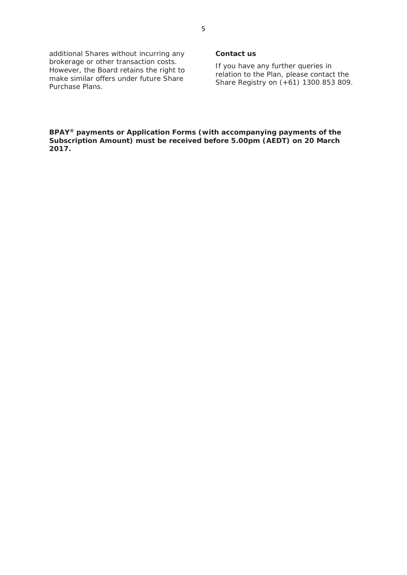additional Shares without incurring any brokerage or other transaction costs. However, the Board retains the right to make similar offers under future Share Purchase Plans.

#### *Contact us*

If you have any further queries in relation to the Plan, please contact the Share Registry on (+61) 1300 853 809.

**BPAY® payments or Application Forms (with accompanying payments of the Subscription Amount) must be received before 5.00pm (AEDT) on 20 March 2017.**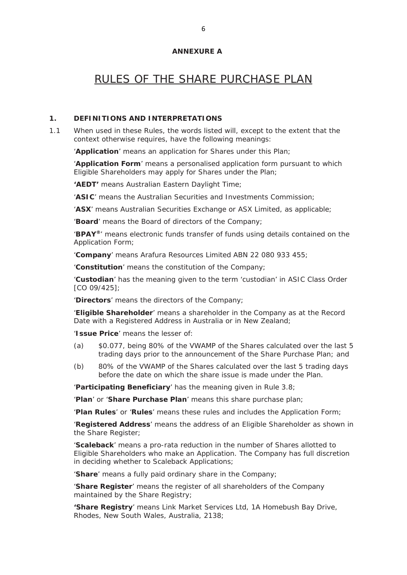#### **ANNEXURE A**

# RULES OF THE SHARE PURCHASE PLAN

# **1. DEFINITIONS AND INTERPRETATIONS**

1.1 When used in these Rules, the words listed will, except to the extent that the context otherwise requires, have the following meanings:

'**Application**' means an application for Shares under this Plan;

'**Application Form**' means a personalised application form pursuant to which Eligible Shareholders may apply for Shares under the Plan;

**'AEDT'** means Australian Eastern Daylight Time;

'**ASIC**' means the Australian Securities and Investments Commission;

'**ASX**' means Australian Securities Exchange or ASX Limited, as applicable;

'**Board**' means the Board of directors of the Company;

'**BPAY®**' means electronic funds transfer of funds using details contained on the Application Form;

'**Company**' means Arafura Resources Limited ABN 22 080 933 455;

'**Constitution**' means the constitution of the Company;

'**Custodian**' has the meaning given to the term 'custodian' in ASIC Class Order [CO 09/425];

'**Directors**' means the directors of the Company;

'**Eligible Shareholder**' means a shareholder in the Company as at the Record Date with a Registered Address in Australia or in New Zealand;

'**Issue Price**' means the lesser of:

- (a) \$0.077, being 80% of the VWAMP of the Shares calculated over the last 5 trading days prior to the announcement of the Share Purchase Plan; and
- (b) 80% of the VWAMP of the Shares calculated over the last 5 trading days before the date on which the share issue is made under the Plan.

'**Participating Beneficiary**' has the meaning given in Rule 3.8;

'**Plan**' or '**Share Purchase Plan**' means this share purchase plan;

'**Plan Rules**' or '**Rules**' means these rules and includes the Application Form;

'**Registered Address**' means the address of an Eligible Shareholder as shown in the Share Register;

'**Scaleback**' means a pro-rata reduction in the number of Shares allotted to Eligible Shareholders who make an Application. The Company has full discretion in deciding whether to Scaleback Applications;

'**Share**' means a fully paid ordinary share in the Company;

'**Share Register**' means the register of all shareholders of the Company maintained by the Share Registry;

**'Share Registry**' means Link Market Services Ltd, 1A Homebush Bay Drive, Rhodes, New South Wales, Australia, 2138;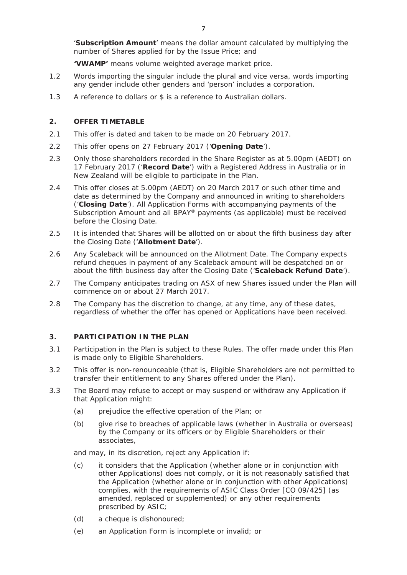'**Subscription Amount**' means the dollar amount calculated by multiplying the number of Shares applied for by the Issue Price; and

**'VWAMP'** means volume weighted average market price.

- 1.2 Words importing the singular include the plural and vice versa, words importing any gender include other genders and 'person' includes a corporation.
- 1.3 A reference to dollars or \$ is a reference to Australian dollars.

# **2. OFFER TIMETABLE**

- 2.1 This offer is dated and taken to be made on 20 February 2017.
- 2.2 This offer opens on 27 February 2017 ('**Opening Date**').
- 2.3 Only those shareholders recorded in the Share Register as at 5.00pm (AEDT) on 17 February 2017 ('**Record Date**') with a Registered Address in Australia or in New Zealand will be eligible to participate in the Plan.
- 2.4 This offer closes at 5.00pm (AEDT) on 20 March 2017 or such other time and date as determined by the Company and announced in writing to shareholders ('**Closing Date**'). All Application Forms with accompanying payments of the Subscription Amount and all BPAY® payments (as applicable) must be received before the Closing Date.
- 2.5 It is intended that Shares will be allotted on or about the fifth business day after the Closing Date ('**Allotment Date**').
- 2.6 Any Scaleback will be announced on the Allotment Date. The Company expects refund cheques in payment of any Scaleback amount will be despatched on or about the fifth business day after the Closing Date ('**Scaleback Refund Date**').
- 2.7 The Company anticipates trading on ASX of new Shares issued under the Plan will commence on or about 27 March 2017.
- 2.8 The Company has the discretion to change, at any time, any of these dates, regardless of whether the offer has opened or Applications have been received.

# **3. PARTICIPATION IN THE PLAN**

- 3.1 Participation in the Plan is subject to these Rules. The offer made under this Plan is made only to Eligible Shareholders.
- 3.2 This offer is non-renounceable (that is, Eligible Shareholders are not permitted to transfer their entitlement to any Shares offered under the Plan).
- 3.3 The Board may refuse to accept or may suspend or withdraw any Application if that Application might:
	- (a) prejudice the effective operation of the Plan; or
	- (b) give rise to breaches of applicable laws (whether in Australia or overseas) by the Company or its officers or by Eligible Shareholders or their associates,

and may, in its discretion, reject any Application if:

- (c) it considers that the Application (whether alone or in conjunction with other Applications) does not comply, or it is not reasonably satisfied that the Application (whether alone or in conjunction with other Applications) complies, with the requirements of ASIC Class Order [CO 09/425] (as amended, replaced or supplemented) or any other requirements prescribed by ASIC;
- (d) a cheque is dishonoured;
- (e) an Application Form is incomplete or invalid; or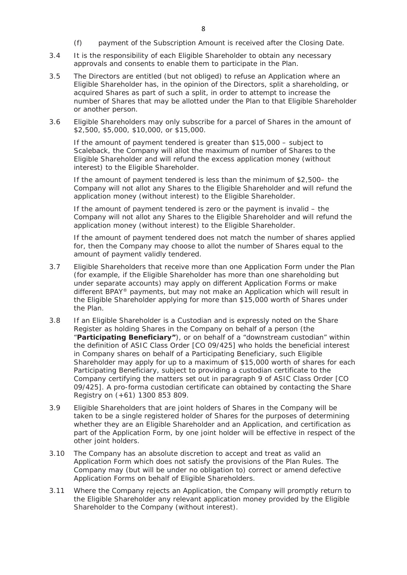- (f) payment of the Subscription Amount is received after the Closing Date.
- 3.4 It is the responsibility of each Eligible Shareholder to obtain any necessary approvals and consents to enable them to participate in the Plan.
- 3.5 The Directors are entitled (but not obliged) to refuse an Application where an Eligible Shareholder has, in the opinion of the Directors, split a shareholding, or acquired Shares as part of such a split, in order to attempt to increase the number of Shares that may be allotted under the Plan to that Eligible Shareholder or another person.
- 3.6 Eligible Shareholders may only subscribe for a parcel of Shares in the amount of \$2,500, \$5,000, \$10,000, or \$15,000.

If the amount of payment tendered is greater than \$15,000 – subject to Scaleback, the Company will allot the maximum of number of Shares to the Eligible Shareholder and will refund the excess application money (without interest) to the Eligible Shareholder.

If the amount of payment tendered is less than the minimum of \$2,500– the Company will not allot any Shares to the Eligible Shareholder and will refund the application money (without interest) to the Eligible Shareholder.

If the amount of payment tendered is zero or the payment is invalid – the Company will not allot any Shares to the Eligible Shareholder and will refund the application money (without interest) to the Eligible Shareholder.

If the amount of payment tendered does not match the number of shares applied for, then the Company may choose to allot the number of Shares equal to the amount of payment validly tendered.

- 3.7 Eligible Shareholders that receive more than one Application Form under the Plan (for example, if the Eligible Shareholder has more than one shareholding but under separate accounts) may apply on different Application Forms or make different BPAY® payments, but may not make an Application which will result in the Eligible Shareholder applying for more than \$15,000 worth of Shares under the Plan.
- 3.8 If an Eligible Shareholder is a Custodian and is expressly noted on the Share Register as holding Shares in the Company on behalf of a person (the "**Participating Beneficiary"**), or on behalf of a "downstream custodian" within the definition of ASIC Class Order [CO 09/425] who holds the beneficial interest in Company shares on behalf of a Participating Beneficiary, such Eligible Shareholder may apply for up to a maximum of \$15,000 worth of shares for each Participating Beneficiary, subject to providing a custodian certificate to the Company certifying the matters set out in paragraph 9 of ASIC Class Order [CO 09/425]. A pro-forma custodian certificate can obtained by contacting the Share Registry on (+61) 1300 853 809.
- 3.9 Eligible Shareholders that are joint holders of Shares in the Company will be taken to be a single registered holder of Shares for the purposes of determining whether they are an Eligible Shareholder and an Application, and certification as part of the Application Form, by one joint holder will be effective in respect of the other joint holders.
- 3.10 The Company has an absolute discretion to accept and treat as valid an Application Form which does not satisfy the provisions of the Plan Rules. The Company may (but will be under no obligation to) correct or amend defective Application Forms on behalf of Eligible Shareholders.
- 3.11 Where the Company rejects an Application, the Company will promptly return to the Eligible Shareholder any relevant application money provided by the Eligible Shareholder to the Company (without interest).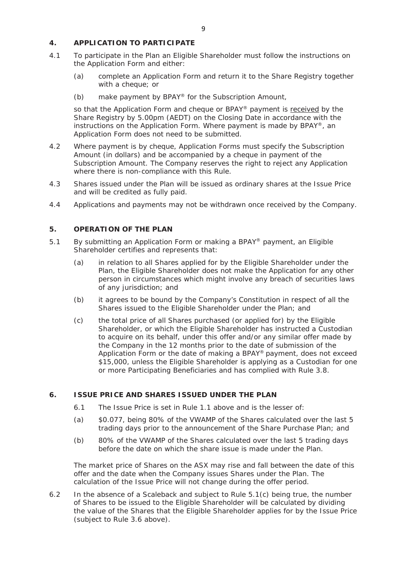# **4. APPLICATION TO PARTICIPATE**

- 4.1 To participate in the Plan an Eligible Shareholder must follow the instructions on the Application Form and either:
	- (a) complete an Application Form and return it to the Share Registry together with a cheque; or
	- (b) make payment by BPAY® for the Subscription Amount,

so that the Application Form and cheque or BPAY® payment is received by the Share Registry by 5.00pm (AEDT) on the Closing Date in accordance with the instructions on the Application Form. Where payment is made by BPAY®, an Application Form does not need to be submitted.

- 4.2 Where payment is by cheque, Application Forms must specify the Subscription Amount (in dollars) and be accompanied by a cheque in payment of the Subscription Amount. The Company reserves the right to reject any Application where there is non-compliance with this Rule.
- 4.3 Shares issued under the Plan will be issued as ordinary shares at the Issue Price and will be credited as fully paid.
- 4.4 Applications and payments may not be withdrawn once received by the Company.

# **5. OPERATION OF THE PLAN**

- 5.1 By submitting an Application Form or making a BPAY® payment, an Eligible Shareholder certifies and represents that:
	- (a) in relation to all Shares applied for by the Eligible Shareholder under the Plan, the Eligible Shareholder does not make the Application for any other person in circumstances which might involve any breach of securities laws of any jurisdiction; and
	- (b) it agrees to be bound by the Company's Constitution in respect of all the Shares issued to the Eligible Shareholder under the Plan; and
	- (c) the total price of all Shares purchased (or applied for) by the Eligible Shareholder, or which the Eligible Shareholder has instructed a Custodian to acquire on its behalf, under this offer and/or any similar offer made by the Company in the 12 months prior to the date of submission of the Application Form or the date of making a BPAY® payment, does not exceed \$15,000, unless the Eligible Shareholder is applying as a Custodian for one or more Participating Beneficiaries and has complied with Rule 3.8.

# **6. ISSUE PRICE AND SHARES ISSUED UNDER THE PLAN**

- 6.1 The Issue Price is set in Rule 1.1 above and is the lesser of:
- (a) \$0.077, being 80% of the VWAMP of the Shares calculated over the last 5 trading days prior to the announcement of the Share Purchase Plan; and
- (b) 80% of the VWAMP of the Shares calculated over the last 5 trading days before the date on which the share issue is made under the Plan.

The market price of Shares on the ASX may rise and fall between the date of this offer and the date when the Company issues Shares under the Plan. The calculation of the Issue Price will not change during the offer period.

6.2 In the absence of a Scaleback and subject to Rule 5.1(c) being true, the number of Shares to be issued to the Eligible Shareholder will be calculated by dividing the value of the Shares that the Eligible Shareholder applies for by the Issue Price (subject to Rule 3.6 above).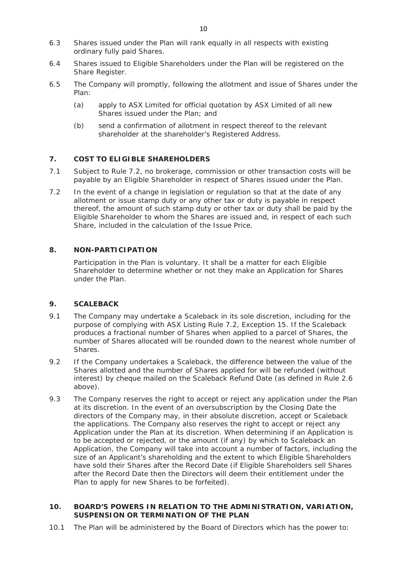- 6.3 Shares issued under the Plan will rank equally in all respects with existing ordinary fully paid Shares.
- 6.4 Shares issued to Eligible Shareholders under the Plan will be registered on the Share Register.
- 6.5 The Company will promptly, following the allotment and issue of Shares under the Plan:
	- (a) apply to ASX Limited for official quotation by ASX Limited of all new Shares issued under the Plan; and
	- (b) send a confirmation of allotment in respect thereof to the relevant shareholder at the shareholder's Registered Address.

# **7. COST TO ELIGIBLE SHAREHOLDERS**

- 7.1 Subject to Rule 7.2, no brokerage, commission or other transaction costs will be payable by an Eligible Shareholder in respect of Shares issued under the Plan.
- 7.2 In the event of a change in legislation or regulation so that at the date of any allotment or issue stamp duty or any other tax or duty is payable in respect thereof, the amount of such stamp duty or other tax or duty shall be paid by the Eligible Shareholder to whom the Shares are issued and, in respect of each such Share, included in the calculation of the Issue Price.

# **8. NON-PARTICIPATION**

Participation in the Plan is voluntary. It shall be a matter for each Eligible Shareholder to determine whether or not they make an Application for Shares under the Plan.

# **9. SCALEBACK**

- 9.1 The Company may undertake a Scaleback in its sole discretion, including for the purpose of complying with ASX Listing Rule 7.2, Exception 15. If the Scaleback produces a fractional number of Shares when applied to a parcel of Shares, the number of Shares allocated will be rounded down to the nearest whole number of **Shares**
- 9.2 If the Company undertakes a Scaleback, the difference between the value of the Shares allotted and the number of Shares applied for will be refunded (without interest) by cheque mailed on the Scaleback Refund Date (as defined in Rule 2.6 above).
- 9.3 The Company reserves the right to accept or reject any application under the Plan at its discretion. In the event of an oversubscription by the Closing Date the directors of the Company may, in their absolute discretion, accept or Scaleback the applications. The Company also reserves the right to accept or reject any Application under the Plan at its discretion. When determining if an Application is to be accepted or rejected, or the amount (if any) by which to Scaleback an Application, the Company will take into account a number of factors, including the size of an Applicant's shareholding and the extent to which Eligible Shareholders have sold their Shares after the Record Date (if Eligible Shareholders sell Shares after the Record Date then the Directors will deem their entitlement under the Plan to apply for new Shares to be forfeited).

# **10. BOARD'S POWERS IN RELATION TO THE ADMINISTRATION, VARIATION, SUSPENSION OR TERMINATION OF THE PLAN**

10.1 The Plan will be administered by the Board of Directors which has the power to: